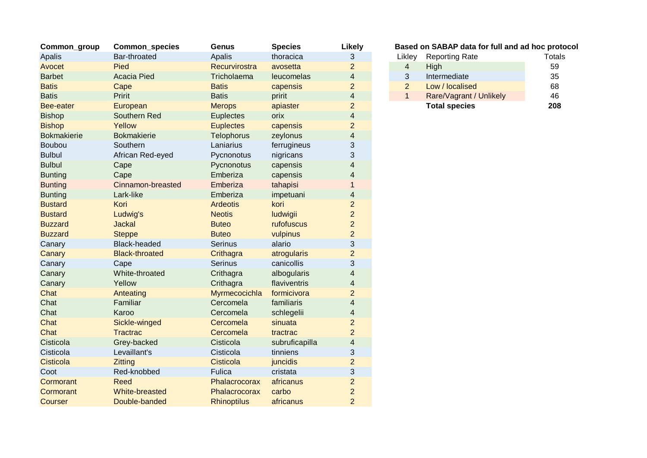| Common_group       | <b>Common_species</b> | <b>Genus</b>       | <b>Species</b> | <b>Likely</b>            |                | Based on SABAP data for full and ad hoc proto |               |
|--------------------|-----------------------|--------------------|----------------|--------------------------|----------------|-----------------------------------------------|---------------|
| Apalis             | Bar-throated          | Apalis             | thoracica      | 3                        | Likley         | <b>Reporting Rate</b>                         | <b>Totals</b> |
| Avocet             | Pied                  | Recurvirostra      | avosetta       | $\overline{2}$           | 4              | High                                          | 59            |
| <b>Barbet</b>      | <b>Acacia Pied</b>    | Tricholaema        | leucomelas     | $\overline{\mathbf{4}}$  | 3              | Intermediate                                  | 35            |
| <b>Batis</b>       | Cape                  | <b>Batis</b>       | capensis       | $\overline{2}$           | $\overline{2}$ | Low / localised                               | 68            |
| <b>Batis</b>       | Pririt                | <b>Batis</b>       | pririt         | $\overline{\mathcal{A}}$ | $\mathbf{1}$   | Rare/Vagrant / Unlikely                       | 46            |
| Bee-eater          | European              | <b>Merops</b>      | apiaster       | $\overline{2}$           |                | <b>Total species</b>                          | 208           |
| <b>Bishop</b>      | Southern Red          | <b>Euplectes</b>   | orix           | $\overline{\mathbf{4}}$  |                |                                               |               |
| <b>Bishop</b>      | Yellow                | <b>Euplectes</b>   | capensis       | $\overline{2}$           |                |                                               |               |
| <b>Bokmakierie</b> | <b>Bokmakierie</b>    | <b>Telophorus</b>  | zeylonus       | 4                        |                |                                               |               |
| Boubou             | Southern              | Laniarius          | ferrugineus    | 3                        |                |                                               |               |
| <b>Bulbul</b>      | African Red-eyed      | Pycnonotus         | nigricans      | 3                        |                |                                               |               |
| <b>Bulbul</b>      | Cape                  | Pycnonotus         | capensis       | 4                        |                |                                               |               |
| <b>Bunting</b>     | Cape                  | Emberiza           | capensis       | 4                        |                |                                               |               |
| <b>Bunting</b>     | Cinnamon-breasted     | Emberiza           | tahapisi       |                          |                |                                               |               |
| <b>Bunting</b>     | Lark-like             | Emberiza           | impetuani      | 4                        |                |                                               |               |
| <b>Bustard</b>     | Kori                  | <b>Ardeotis</b>    | kori           | 2                        |                |                                               |               |
| <b>Bustard</b>     | Ludwig's              | <b>Neotis</b>      | ludwigii       | $\overline{2}$           |                |                                               |               |
| <b>Buzzard</b>     | <b>Jackal</b>         | <b>Buteo</b>       | rufofuscus     | $\overline{a}$           |                |                                               |               |
| <b>Buzzard</b>     | <b>Steppe</b>         | <b>Buteo</b>       | vulpinus       | $\overline{c}$           |                |                                               |               |
| Canary             | <b>Black-headed</b>   | <b>Serinus</b>     | alario         | 3                        |                |                                               |               |
| Canary             | <b>Black-throated</b> | Crithagra          | atrogularis    | $\overline{a}$           |                |                                               |               |
| Canary             | Cape                  | <b>Serinus</b>     | canicollis     | 3                        |                |                                               |               |
| Canary             | White-throated        | Crithagra          | albogularis    | 4                        |                |                                               |               |
| Canary             | Yellow                | Crithagra          | flaviventris   | 4                        |                |                                               |               |
| Chat               | Anteating             | Myrmecocichla      | formicivora    | $\overline{a}$           |                |                                               |               |
| Chat               | Familiar              | Cercomela          | familiaris     | 4                        |                |                                               |               |
| Chat               | Karoo                 | Cercomela          | schlegelii     | 4                        |                |                                               |               |
| Chat               | Sickle-winged         | Cercomela          | sinuata        | $\overline{c}$           |                |                                               |               |
| Chat               | <b>Tractrac</b>       | Cercomela          | tractrac       | $\overline{2}$           |                |                                               |               |
| Cisticola          | Grey-backed           | Cisticola          | subruficapilla | 4                        |                |                                               |               |
| Cisticola          | Levaillant's          | Cisticola          | tinniens       | 3                        |                |                                               |               |
| Cisticola          | Zitting               | Cisticola          | juncidis       | $\overline{2}$           |                |                                               |               |
| Coot               | Red-knobbed           | Fulica             | cristata       | 3                        |                |                                               |               |
| Cormorant          | <b>Reed</b>           | Phalacrocorax      | africanus      | $\overline{c}$           |                |                                               |               |
| Cormorant          | White-breasted        | Phalacrocorax      | carbo          | $\overline{a}$           |                |                                               |               |
| Courser            | Double-banded         | <b>Rhinoptilus</b> | africanus      | $\overline{2}$           |                |                                               |               |

## **Based on SABAP data for full and ad hoc protocol**

| ikley | <b>Reporting Rate</b>   | <b>Totals</b> |
|-------|-------------------------|---------------|
| 4     | High                    | 59            |
| 3     | Intermediate            | 35            |
| 2     | Low / localised         | 68            |
| 1     | Rare/Vagrant / Unlikely | 46            |
|       | <b>Total species</b>    | 208           |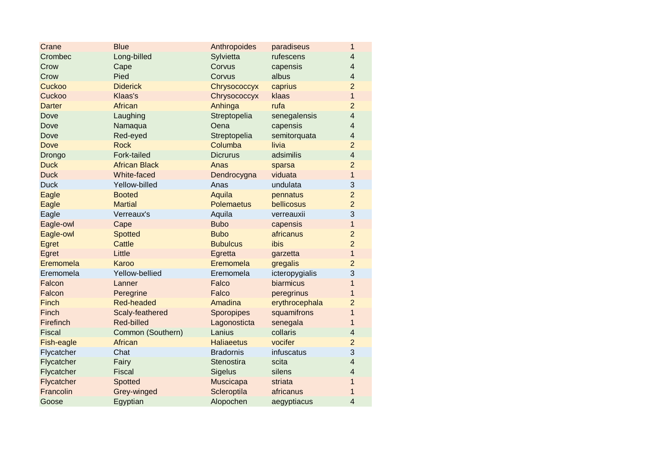| Crane         | <b>Blue</b>          | Anthropoides      | paradiseus     | $\mathbf{1}$   |
|---------------|----------------------|-------------------|----------------|----------------|
| Crombec       | Long-billed          | Sylvietta         | rufescens      | $\overline{4}$ |
| Crow          | Cape                 | Corvus            | capensis       | $\overline{4}$ |
| Crow          | Pied                 | Corvus            | albus          | $\overline{4}$ |
| Cuckoo        | <b>Diderick</b>      | Chrysococcyx      | caprius        | $\overline{2}$ |
| Cuckoo        | Klaas's              | Chrysococcyx      | klaas          | $\overline{1}$ |
| <b>Darter</b> | African              | Anhinga           | rufa           | $\overline{2}$ |
| Dove          | Laughing             | Streptopelia      | senegalensis   | $\overline{4}$ |
| Dove          | Namaqua              | Oena              | capensis       | $\overline{4}$ |
| Dove          | Red-eyed             | Streptopelia      | semitorquata   | $\overline{4}$ |
| <b>Dove</b>   | <b>Rock</b>          | Columba           | livia          | $\overline{2}$ |
| Drongo        | Fork-tailed          | <b>Dicrurus</b>   | adsimilis      | $\overline{4}$ |
| <b>Duck</b>   | <b>African Black</b> | Anas              | sparsa         | $\overline{2}$ |
| <b>Duck</b>   | White-faced          | Dendrocygna       | viduata        | $\mathbf{1}$   |
| <b>Duck</b>   | Yellow-billed        | Anas              | undulata       | 3              |
| Eagle         | <b>Booted</b>        | Aquila            | pennatus       | $\overline{2}$ |
| Eagle         | <b>Martial</b>       | <b>Polemaetus</b> | bellicosus     | $\overline{2}$ |
| Eagle         | Verreaux's           | Aquila            | verreauxii     | 3              |
| Eagle-owl     | Cape                 | <b>Bubo</b>       | capensis       | $\mathbf{1}$   |
| Eagle-owl     | <b>Spotted</b>       | <b>Bubo</b>       | africanus      | $\overline{2}$ |
| Egret         | <b>Cattle</b>        | <b>Bubulcus</b>   | ibis           | $\overline{2}$ |
| Egret         | Little               | Egretta           | garzetta       | $\overline{1}$ |
| Eremomela     | Karoo                | Eremomela         | gregalis       | $\overline{2}$ |
| Eremomela     | Yellow-bellied       | Eremomela         | icteropygialis | 3              |
| Falcon        | Lanner               | Falco             | biarmicus      | $\mathbf{1}$   |
| Falcon        | Peregrine            | Falco             | peregrinus     | $\mathbf{1}$   |
| Finch         | <b>Red-headed</b>    | Amadina           | erythrocephala | $\overline{2}$ |
| Finch         | Scaly-feathered      | Sporopipes        | squamifrons    | $\overline{1}$ |
| Firefinch     | Red-billed           | Lagonosticta      | senegala       | $\mathbf{1}$   |
| <b>Fiscal</b> | Common (Southern)    | Lanius            | collaris       | $\overline{4}$ |
| Fish-eagle    | <b>African</b>       | <b>Haliaeetus</b> | vocifer        | $\overline{2}$ |
| Flycatcher    | Chat                 | <b>Bradornis</b>  | infuscatus     | 3              |
| Flycatcher    | Fairy                | Stenostira        | scita          | $\overline{4}$ |
| Flycatcher    | Fiscal               | Sigelus           | silens         | $\overline{4}$ |
| Flycatcher    | Spotted              | Muscicapa         | striata        | $\mathbf{1}$   |
| Francolin     | Grey-winged          | Scleroptila       | africanus      | $\mathbf{1}$   |
| Goose         | Egyptian             | Alopochen         | aegyptiacus    | $\overline{4}$ |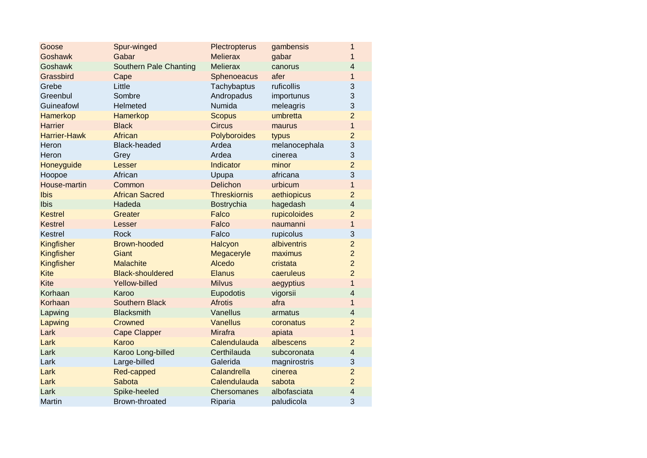| Goose               | Spur-winged                   | Plectropterus       | gambensis     | 1              |
|---------------------|-------------------------------|---------------------|---------------|----------------|
| <b>Goshawk</b>      | Gabar                         | <b>Melierax</b>     | gabar         | 1              |
| Goshawk             | <b>Southern Pale Chanting</b> | <b>Melierax</b>     | canorus       | $\overline{4}$ |
| Grassbird           | Cape                          | Sphenoeacus         | afer          | $\mathbf{1}$   |
| Grebe               | Little                        | Tachybaptus         | ruficollis    | 3              |
| Greenbul            | Sombre                        | Andropadus          | importunus    | 3              |
| Guineafowl          | Helmeted                      | Numida              | meleagris     | 3              |
| Hamerkop            | <b>Hamerkop</b>               | <b>Scopus</b>       | umbretta      | $\overline{2}$ |
| <b>Harrier</b>      | <b>Black</b>                  | <b>Circus</b>       | maurus        | $\overline{1}$ |
| <b>Harrier-Hawk</b> | African                       | Polyboroides        | typus         | $\overline{2}$ |
| Heron               | <b>Black-headed</b>           | Ardea               | melanocephala | 3              |
| Heron               | Grey                          | Ardea               | cinerea       | 3              |
| Honeyguide          | Lesser                        | Indicator           | minor         | $\overline{2}$ |
| Hoopoe              | African                       | Upupa               | africana      | 3              |
| House-martin        | Common                        | Delichon            | urbicum       | $\overline{1}$ |
| Ibis                | <b>African Sacred</b>         | <b>Threskiornis</b> | aethiopicus   | $\overline{2}$ |
| Ibis                | Hadeda                        | Bostrychia          | hagedash      | $\overline{4}$ |
| <b>Kestrel</b>      | Greater                       | Falco               | rupicoloides  | $\overline{2}$ |
| <b>Kestrel</b>      | Lesser                        | Falco               | naumanni      | $\mathbf{1}$   |
| Kestrel             | <b>Rock</b>                   | Falco               | rupicolus     | 3              |
| Kingfisher          | <b>Brown-hooded</b>           | Halcyon             | albiventris   | $\overline{2}$ |
| Kingfisher          | Giant                         | Megaceryle          | maximus       | $\overline{2}$ |
| Kingfisher          | <b>Malachite</b>              | Alcedo              | cristata      | $\overline{2}$ |
| <b>Kite</b>         | <b>Black-shouldered</b>       | <b>Elanus</b>       | caeruleus     | $\overline{c}$ |
| <b>Kite</b>         | Yellow-billed                 | <b>Milvus</b>       | aegyptius     | $\overline{1}$ |
| Korhaan             | Karoo                         | Eupodotis           | vigorsii      | $\overline{4}$ |
| Korhaan             | <b>Southern Black</b>         | <b>Afrotis</b>      | afra          | 1              |
| Lapwing             | <b>Blacksmith</b>             | Vanellus            | armatus       | $\overline{4}$ |
| Lapwing             | Crowned                       | <b>Vanellus</b>     | coronatus     | $\overline{2}$ |
| Lark                | <b>Cape Clapper</b>           | <b>Mirafra</b>      | apiata        | $\overline{1}$ |
| Lark                | Karoo                         | Calendulauda        | albescens     | $\overline{2}$ |
| Lark                | Karoo Long-billed             | Certhilauda         | subcoronata   | $\overline{4}$ |
| Lark                | Large-billed                  | Galerida            | magnirostris  | 3              |
| Lark                | Red-capped                    | Calandrella         | cinerea       | $\overline{2}$ |
| Lark                | Sabota                        | Calendulauda        | sabota        | $\overline{2}$ |
| Lark                | Spike-heeled                  | Chersomanes         | albofasciata  | $\overline{4}$ |
| Martin              | Brown-throated                | Riparia             | paludicola    | 3              |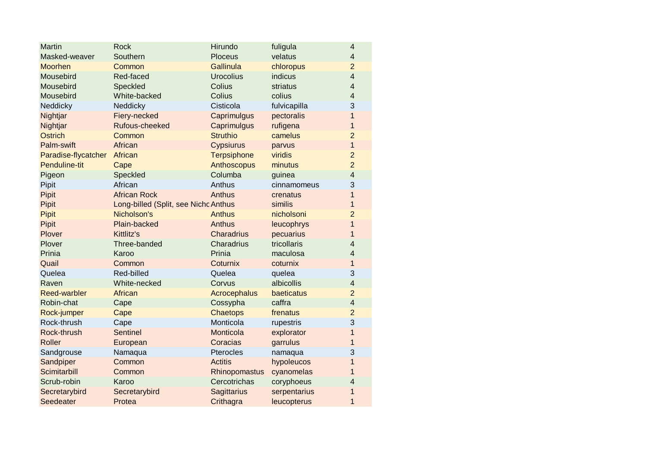| <b>Martin</b>       | <b>Rock</b>                          | Hirundo            | fuligula     | $\overline{4}$           |
|---------------------|--------------------------------------|--------------------|--------------|--------------------------|
| Masked-weaver       | Southern                             | <b>Ploceus</b>     | velatus      | $\overline{4}$           |
| Moorhen             | Common                               | <b>Gallinula</b>   | chloropus    | $\overline{2}$           |
| Mousebird           | Red-faced                            | <b>Urocolius</b>   | indicus      | $\overline{4}$           |
| Mousebird           | Speckled                             | Colius             | striatus     | $\overline{4}$           |
| Mousebird           | White-backed                         | Colius             | colius       | $\overline{4}$           |
| Neddicky            | Neddicky                             | Cisticola          | fulvicapilla | 3                        |
| Nightjar            | Fiery-necked                         | Caprimulgus        | pectoralis   | $\overline{1}$           |
| Nightjar            | Rufous-cheeked                       | Caprimulgus        | rufigena     | $\mathbf{1}$             |
| <b>Ostrich</b>      | Common                               | <b>Struthio</b>    | camelus      | $\overline{2}$           |
| Palm-swift          | African                              | <b>Cypsiurus</b>   | parvus       | $\overline{1}$           |
| Paradise-flycatcher | African                              | <b>Terpsiphone</b> | viridis      | $\overline{2}$           |
| Penduline-tit       | Cape                                 | Anthoscopus        | minutus      | $\overline{2}$           |
| Pigeon              | Speckled                             | Columba            | guinea       | $\overline{4}$           |
| Pipit               | African                              | Anthus             | cinnamomeus  | 3                        |
| Pipit               | <b>African Rock</b>                  | Anthus             | crenatus     | $\mathbf{1}$             |
| Pipit               | Long-billed (Split, see Nichc Anthus |                    | similis      | 1                        |
| Pipit               | Nicholson's                          | <b>Anthus</b>      | nicholsoni   | $\overline{2}$           |
| Pipit               | Plain-backed                         | Anthus             | leucophrys   | $\overline{1}$           |
| Plover              | Kittlitz's                           | Charadrius         | pecuarius    | $\mathbf{1}$             |
| Plover              | Three-banded                         | Charadrius         | tricollaris  | $\overline{\mathcal{L}}$ |
| Prinia              | Karoo                                | Prinia             | maculosa     | $\overline{4}$           |
| Quail               | Common                               | Coturnix           | coturnix     | $\mathbf{1}$             |
| Quelea              | Red-billed                           | Quelea             | quelea       | 3                        |
| Raven               | White-necked                         | Corvus             | albicollis   | $\overline{\mathbf{4}}$  |
| <b>Reed-warbler</b> | African                              | Acrocephalus       | baeticatus   | $\overline{2}$           |
| Robin-chat          | Cape                                 | Cossypha           | caffra       | $\overline{4}$           |
| Rock-jumper         | Cape                                 | <b>Chaetops</b>    | frenatus     | $\overline{2}$           |
| Rock-thrush         | Cape                                 | Monticola          | rupestris    | 3                        |
| Rock-thrush         | <b>Sentinel</b>                      | Monticola          | explorator   | 1                        |
| Roller              | European                             | Coracias           | garrulus     | 1                        |
| Sandgrouse          | Namaqua                              | Pterocles          | namaqua      | 3                        |
| Sandpiper           | Common                               | <b>Actitis</b>     | hypoleucos   | $\mathbf{1}$             |
| Scimitarbill        | Common                               | Rhinopomastus      | cyanomelas   | 1                        |
| Scrub-robin         | Karoo                                | Cercotrichas       | coryphoeus   | $\overline{4}$           |
| Secretarybird       | Secretarybird                        | Sagittarius        | serpentarius | $\mathbf{1}$             |
| Seedeater           | Protea                               | Crithagra          | leucopterus  | $\mathbf{1}$             |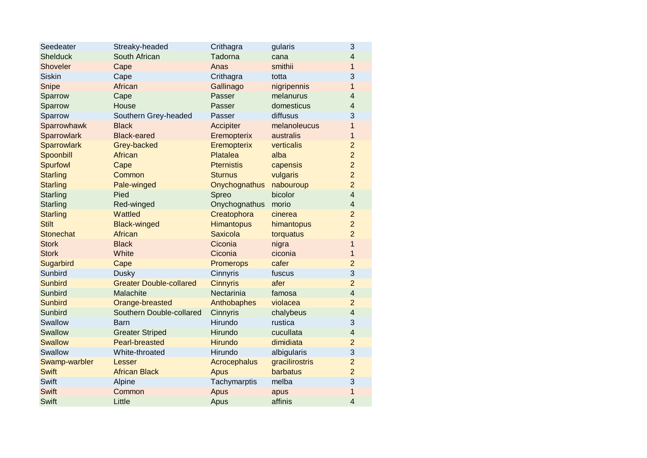| Seedeater          | Streaky-headed                 | Crithagra         | gularis        | 3              |
|--------------------|--------------------------------|-------------------|----------------|----------------|
| <b>Shelduck</b>    | South African                  | Tadorna           | cana           | $\overline{4}$ |
| <b>Shoveler</b>    | Cape                           | Anas              | smithii        | $\mathbf{1}$   |
| <b>Siskin</b>      | Cape                           | Crithagra         | totta          | 3              |
| Snipe              | African                        | Gallinago         | nigripennis    | $\mathbf{1}$   |
| Sparrow            | Cape                           | Passer            | melanurus      | $\overline{4}$ |
| Sparrow            | House                          | Passer            | domesticus     | $\overline{4}$ |
| Sparrow            | Southern Grey-headed           | Passer            | diffusus       | 3              |
| Sparrowhawk        | <b>Black</b>                   | Accipiter         | melanoleucus   | $\mathbf{1}$   |
| Sparrowlark        | <b>Black-eared</b>             | Eremopterix       | australis      | $\mathbf{1}$   |
| <b>Sparrowlark</b> | Grey-backed                    | Eremopterix       | verticalis     | $\overline{2}$ |
| Spoonbill          | African                        | Platalea          | alba           | $\overline{2}$ |
| Spurfowl           | Cape                           | <b>Pternistis</b> | capensis       | $\overline{2}$ |
| <b>Starling</b>    | Common                         | <b>Sturnus</b>    | vulgaris       | $\overline{2}$ |
| <b>Starling</b>    | Pale-winged                    | Onychognathus     | nabouroup      | $\overline{2}$ |
| Starling           | Pied                           | Spreo             | bicolor        | $\overline{4}$ |
| <b>Starling</b>    | Red-winged                     | Onychognathus     | morio          | $\overline{4}$ |
| <b>Starling</b>    | Wattled                        | Creatophora       | cinerea        | $\overline{2}$ |
| <b>Stilt</b>       | <b>Black-winged</b>            | <b>Himantopus</b> | himantopus     | $\overline{2}$ |
| <b>Stonechat</b>   | African                        | <b>Saxicola</b>   | torquatus      | $\overline{2}$ |
| <b>Stork</b>       | <b>Black</b>                   | Ciconia           | nigra          | $\overline{1}$ |
| <b>Stork</b>       | White                          | Ciconia           | ciconia        | $\mathbf{1}$   |
| Sugarbird          | Cape                           | Promerops         | cafer          | $\overline{2}$ |
| Sunbird            | <b>Dusky</b>                   | Cinnyris          | fuscus         | 3              |
| <b>Sunbird</b>     | <b>Greater Double-collared</b> | <b>Cinnyris</b>   | afer           | $\overline{2}$ |
| Sunbird            | Malachite                      | Nectarinia        | famosa         | $\overline{4}$ |
| <b>Sunbird</b>     | Orange-breasted                | Anthobaphes       | violacea       | $\overline{2}$ |
| Sunbird            | Southern Double-collared       | Cinnyris          | chalybeus      | $\overline{4}$ |
| Swallow            | <b>Barn</b>                    | Hirundo           | rustica        | 3              |
| Swallow            | <b>Greater Striped</b>         | Hirundo           | cucullata      | $\overline{4}$ |
| <b>Swallow</b>     | <b>Pearl-breasted</b>          | <b>Hirundo</b>    | dimidiata      | $\overline{2}$ |
| Swallow            | White-throated                 | Hirundo           | albigularis    | 3              |
| Swamp-warbler      | Lesser                         | Acrocephalus      | gracilirostris | $\overline{2}$ |
| <b>Swift</b>       | <b>African Black</b>           | <b>Apus</b>       | barbatus       | $\overline{2}$ |
| Swift              | Alpine                         | Tachymarptis      | melba          | $\overline{3}$ |
| <b>Swift</b>       | Common                         | Apus              | apus           | $\mathbf{1}$   |
| <b>Swift</b>       | Little                         | Apus              | affinis        | $\overline{4}$ |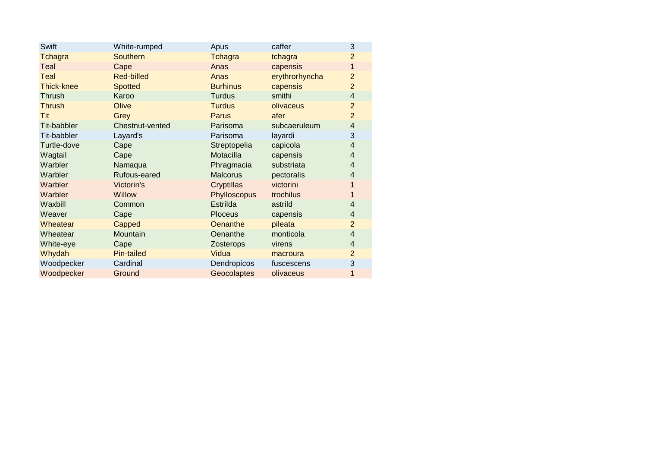| Swift             | White-rumped      | Apus            | caffer         | $\sqrt{3}$     |
|-------------------|-------------------|-----------------|----------------|----------------|
| <b>Tchagra</b>    | <b>Southern</b>   | <b>Tchagra</b>  | tchagra        | $\overline{2}$ |
| Teal              | Cape              | Anas            | capensis       | $\mathbf{1}$   |
| Teal              | <b>Red-billed</b> | Anas            | erythrorhyncha | $\overline{2}$ |
| <b>Thick-knee</b> | <b>Spotted</b>    | <b>Burhinus</b> | capensis       | 2              |
| Thrush            | Karoo             | <b>Turdus</b>   | smithi         | $\overline{4}$ |
| <b>Thrush</b>     | Olive             | <b>Turdus</b>   | olivaceus      | $\overline{2}$ |
| Tit               | Grey              | Parus           | afer           | $\overline{2}$ |
| Tit-babbler       | Chestnut-vented   | Parisoma        | subcaeruleum   | $\overline{4}$ |
| Tit-babbler       | Layard's          | Parisoma        | layardi        | 3              |
| Turtle-dove       | Cape              | Streptopelia    | capicola       | $\overline{4}$ |
| Wagtail           | Cape              | Motacilla       | capensis       | $\overline{4}$ |
| Warbler           | Namaqua           | Phragmacia      | substriata     | $\overline{4}$ |
| Warbler           | Rufous-eared      | <b>Malcorus</b> | pectoralis     | $\overline{4}$ |
| Warbler           | Victorin's        | Cryptillas      | victorini      |                |
| Warbler           | <b>Willow</b>     | Phylloscopus    | trochilus      |                |
| Waxbill           | Common            | Estrilda        | astrild        | $\overline{4}$ |
| Weaver            | Cape              | <b>Ploceus</b>  | capensis       | 4              |
| Wheatear          | Capped            | Oenanthe        | pileata        | $\overline{2}$ |
| Wheatear          | Mountain          | Oenanthe        | monticola      | $\overline{4}$ |
| White-eye         | Cape              | Zosterops       | virens         | $\overline{4}$ |
| Whydah            | Pin-tailed        | Vidua           | macroura       | $\overline{2}$ |
| Woodpecker        | Cardinal          | Dendropicos     | fuscescens     | 3              |
| Woodpecker        | Ground            | Geocolaptes     | olivaceus      | 1              |